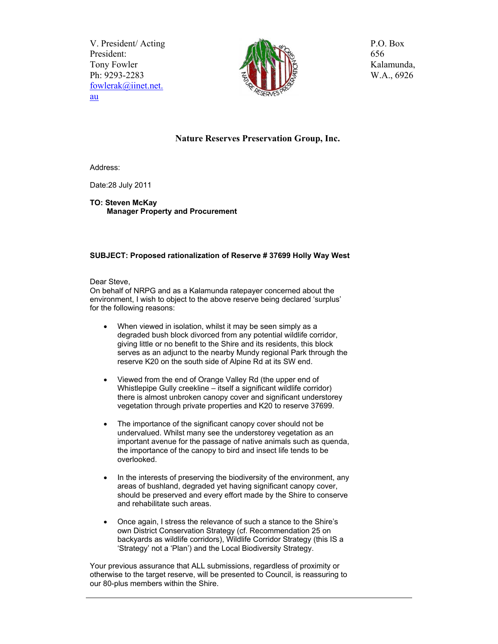V. President/ Acting President: Tony Fowler Ph: 9293-2283 fowlerak@iinet.net. au



P.O. Box 656 Kalamunda, W.A., 6926

## **Nature Reserves Preservation Group, Inc.**

Address:

Date:28 July 2011

**TO: Steven McKay Manager Property and Procurement** 

## **SUBJECT: Proposed rationalization of Reserve # 37699 Holly Way West**

Dear Steve,

On behalf of NRPG and as a Kalamunda ratepayer concerned about the environment, I wish to object to the above reserve being declared 'surplus' for the following reasons:

- When viewed in isolation, whilst it may be seen simply as a degraded bush block divorced from any potential wildlife corridor, giving little or no benefit to the Shire and its residents, this block serves as an adjunct to the nearby Mundy regional Park through the reserve K20 on the south side of Alpine Rd at its SW end.
- Viewed from the end of Orange Valley Rd (the upper end of Whistlepipe Gully creekline – itself a significant wildlife corridor) there is almost unbroken canopy cover and significant understorey vegetation through private properties and K20 to reserve 37699.
- The importance of the significant canopy cover should not be undervalued. Whilst many see the understorey vegetation as an important avenue for the passage of native animals such as quenda, the importance of the canopy to bird and insect life tends to be overlooked.
- In the interests of preserving the biodiversity of the environment, any areas of bushland, degraded yet having significant canopy cover, should be preserved and every effort made by the Shire to conserve and rehabilitate such areas.
- Once again, I stress the relevance of such a stance to the Shire's own District Conservation Strategy (cf. Recommendation 25 on backyards as wildlife corridors), Wildlife Corridor Strategy (this IS a 'Strategy' not a 'Plan') and the Local Biodiversity Strategy.

Your previous assurance that ALL submissions, regardless of proximity or otherwise to the target reserve, will be presented to Council, is reassuring to our 80-plus members within the Shire.